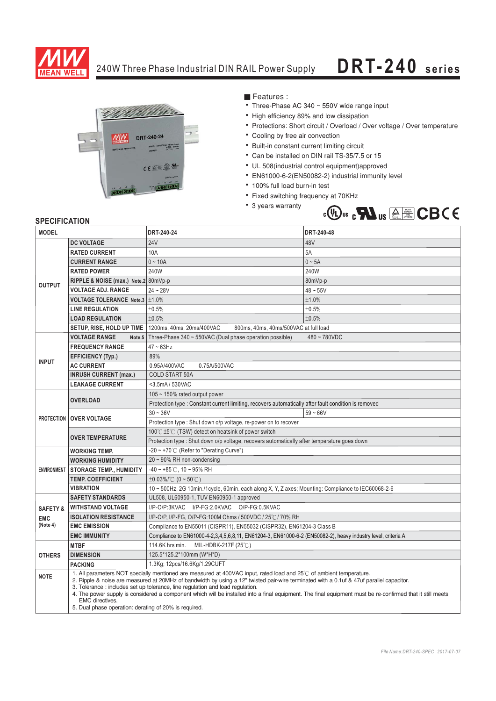

## 240W Three Phase Industrial DIN RAIL Power Supply

## **DRT-240 series**



■ Features :

- Three-Phase AC 340 ~ 550V wide range input
- High efficiency 89% and low dissipation
- Protections: Short circuit / Overload / Over voltage / Over temperature
- Cooling by free air convection
- Built-in constant current limiting circuit
- Can be installed on DIN rail TS-35/7.5 or 15
- UL 508(industrial control equipment)approved
- EN61000-6-2(EN50082-2) industrial immunity level
- · 100% full load burn-in test
- Fixed switching frequency at 70KHz
- 3 years warranty



| <b>MODEL</b>        |                                                                                                                                                                                                                                                                                                                                                                                                                                                                                                                                                                                                   | DRT-240-24                                                                                                   | DRT-240-48  |
|---------------------|---------------------------------------------------------------------------------------------------------------------------------------------------------------------------------------------------------------------------------------------------------------------------------------------------------------------------------------------------------------------------------------------------------------------------------------------------------------------------------------------------------------------------------------------------------------------------------------------------|--------------------------------------------------------------------------------------------------------------|-------------|
| <b>OUTPUT</b>       | <b>DC VOLTAGE</b>                                                                                                                                                                                                                                                                                                                                                                                                                                                                                                                                                                                 | 24V                                                                                                          | 48V         |
|                     | <b>RATED CURRENT</b>                                                                                                                                                                                                                                                                                                                                                                                                                                                                                                                                                                              | 10A                                                                                                          | 5A          |
|                     | <b>CURRENT RANGE</b>                                                                                                                                                                                                                                                                                                                                                                                                                                                                                                                                                                              | $0 - 10A$                                                                                                    | $0 \sim 5A$ |
|                     | <b>RATED POWER</b>                                                                                                                                                                                                                                                                                                                                                                                                                                                                                                                                                                                | 240W                                                                                                         | 240W        |
|                     | RIPPLE & NOISE (max.) Note.2 80mVp-p                                                                                                                                                                                                                                                                                                                                                                                                                                                                                                                                                              |                                                                                                              | 80mVp-p     |
|                     | <b>VOLTAGE ADJ. RANGE</b>                                                                                                                                                                                                                                                                                                                                                                                                                                                                                                                                                                         | $24 - 28V$                                                                                                   | $48 - 55V$  |
|                     | <b>VOLTAGE TOLERANCE Note.3 <math>\pm</math>1.0%</b>                                                                                                                                                                                                                                                                                                                                                                                                                                                                                                                                              |                                                                                                              | ±1.0%       |
|                     | <b>LINE REGULATION</b>                                                                                                                                                                                                                                                                                                                                                                                                                                                                                                                                                                            | ±0.5%                                                                                                        | ±0.5%       |
|                     | <b>LOAD REGULATION</b>                                                                                                                                                                                                                                                                                                                                                                                                                                                                                                                                                                            | ±0.5%                                                                                                        | ±0.5%       |
|                     | SETUP, RISE, HOLD UP TIME                                                                                                                                                                                                                                                                                                                                                                                                                                                                                                                                                                         | 1200ms, 40ms, 20ms/400VAC<br>800ms, 40ms, 40ms/500VAC at full load                                           |             |
| <b>INPUT</b>        | <b>VOLTAGE RANGE</b><br>Note <sub>.5</sub>                                                                                                                                                                                                                                                                                                                                                                                                                                                                                                                                                        | Three-Phase 340 ~ 550VAC (Dual phase operation possible)<br>$480 - 780$ VDC                                  |             |
|                     | <b>FREQUENCY RANGE</b>                                                                                                                                                                                                                                                                                                                                                                                                                                                                                                                                                                            | $47 \sim 63$ Hz                                                                                              |             |
|                     | <b>EFFICIENCY (Typ.)</b>                                                                                                                                                                                                                                                                                                                                                                                                                                                                                                                                                                          | 89%                                                                                                          |             |
|                     | <b>AC CURRENT</b>                                                                                                                                                                                                                                                                                                                                                                                                                                                                                                                                                                                 | 0.95A/400VAC<br>0.75A/500VAC                                                                                 |             |
|                     | <b>INRUSH CURRENT (max.)</b>                                                                                                                                                                                                                                                                                                                                                                                                                                                                                                                                                                      | <b>COLD START 50A</b>                                                                                        |             |
|                     | <b>LEAKAGE CURRENT</b>                                                                                                                                                                                                                                                                                                                                                                                                                                                                                                                                                                            | <3.5mA / 530VAC                                                                                              |             |
|                     | <b>OVERLOAD</b>                                                                                                                                                                                                                                                                                                                                                                                                                                                                                                                                                                                   | 105 $\sim$ 150% rated output power                                                                           |             |
|                     |                                                                                                                                                                                                                                                                                                                                                                                                                                                                                                                                                                                                   | Protection type : Constant current limiting, recovers automatically after fault condition is removed         |             |
|                     | <b>PROTECTION   OVER VOLTAGE</b>                                                                                                                                                                                                                                                                                                                                                                                                                                                                                                                                                                  | $30 - 36V$                                                                                                   | $59 - 66V$  |
|                     |                                                                                                                                                                                                                                                                                                                                                                                                                                                                                                                                                                                                   | Protection type: Shut down o/p voltage, re-power on to recover                                               |             |
|                     | <b>OVER TEMPERATURE</b>                                                                                                                                                                                                                                                                                                                                                                                                                                                                                                                                                                           | 100℃±5℃ (TSW) detect on heatsink of power switch                                                             |             |
|                     |                                                                                                                                                                                                                                                                                                                                                                                                                                                                                                                                                                                                   | Protection type : Shut down o/p voltage, recovers automatically after temperature goes down                  |             |
| <b>ENVIRONMENT</b>  | <b>WORKING TEMP.</b>                                                                                                                                                                                                                                                                                                                                                                                                                                                                                                                                                                              | -20 ~ +70℃ (Refer to "Derating Curve")                                                                       |             |
|                     | <b>WORKING HUMIDITY</b>                                                                                                                                                                                                                                                                                                                                                                                                                                                                                                                                                                           | $20 \sim 90\%$ RH non-condensing                                                                             |             |
|                     | <b>STORAGE TEMP., HUMIDITY</b>                                                                                                                                                                                                                                                                                                                                                                                                                                                                                                                                                                    | $-40 \sim +85^{\circ}$ C, 10 ~ 95% RH                                                                        |             |
|                     | <b>TEMP, COEFFICIENT</b>                                                                                                                                                                                                                                                                                                                                                                                                                                                                                                                                                                          | $\pm 0.03\%$ (0 ~ 50°C)                                                                                      |             |
|                     | <b>VIBRATION</b>                                                                                                                                                                                                                                                                                                                                                                                                                                                                                                                                                                                  | 10 ~ 500Hz, 2G 10min./1cycle, 60min. each along X, Y, Z axes; Mounting: Compliance to IEC60068-2-6           |             |
|                     | <b>SAFETY STANDARDS</b>                                                                                                                                                                                                                                                                                                                                                                                                                                                                                                                                                                           | UL508, UL60950-1, TUV EN60950-1 approved                                                                     |             |
| <b>SAFETY &amp;</b> | <b>WITHSTAND VOLTAGE</b>                                                                                                                                                                                                                                                                                                                                                                                                                                                                                                                                                                          | I/P-O/P:3KVAC I/P-FG:2.0KVAC O/P-FG:0.5KVAC                                                                  |             |
| <b>EMC</b>          | <b>ISOLATION RESISTANCE</b><br>I/P-O/P, I/P-FG, O/P-FG:100M Ohms / 500VDC / 25℃/ 70% RH                                                                                                                                                                                                                                                                                                                                                                                                                                                                                                           |                                                                                                              |             |
| (Note 4)            | <b>EMC EMISSION</b>                                                                                                                                                                                                                                                                                                                                                                                                                                                                                                                                                                               | Compliance to EN55011 (CISPR11), EN55032 (CISPR32), EN61204-3 Class B                                        |             |
|                     | <b>EMC IMMUNITY</b>                                                                                                                                                                                                                                                                                                                                                                                                                                                                                                                                                                               | Compliance to EN61000-4-2,3,4,5,6,8,11, EN61204-3, EN61000-6-2 (EN50082-2), heavy industry level, criteria A |             |
|                     | <b>MTBF</b>                                                                                                                                                                                                                                                                                                                                                                                                                                                                                                                                                                                       | MIL-HDBK-217F (25℃)<br>114.6K hrs min.                                                                       |             |
| <b>OTHERS</b>       | <b>DIMENSION</b>                                                                                                                                                                                                                                                                                                                                                                                                                                                                                                                                                                                  | 125.5*125.2*100mm (W*H*D)                                                                                    |             |
|                     | <b>PACKING</b>                                                                                                                                                                                                                                                                                                                                                                                                                                                                                                                                                                                    | 1.3Kg; 12pcs/16.6Kg/1.29CUFT                                                                                 |             |
| <b>NOTE</b>         | 1. All parameters NOT specially mentioned are measured at 400VAC input, rated load and 25°C of ambient temperature.<br>2. Ripple & noise are measured at 20MHz of bandwidth by using a 12" twisted pair-wire terminated with a 0.1uf & 47uf parallel capacitor.<br>3. Tolerance: includes set up tolerance, line regulation and load regulation.<br>4. The power supply is considered a component which will be installed into a final equipment. The final equipment must be re-confirmed that it still meets<br><b>EMC</b> directives.<br>5. Dual phase operation: derating of 20% is required. |                                                                                                              |             |